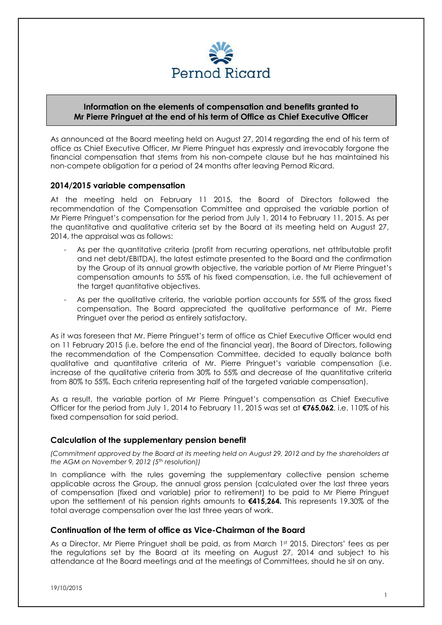

## **Information on the elements of compensation and benefits granted to Mr Pierre Pringuet at the end of his term of Office as Chief Executive Officer**

As announced at the Board meeting held on August 27, 2014 regarding the end of his term of office as Chief Executive Officer, Mr Pierre Pringuet has expressly and irrevocably forgone the financial compensation that stems from his non-compete clause but he has maintained his non-compete obligation for a period of 24 months after leaving Pernod Ricard.

## **2014/2015 variable compensation**

At the meeting held on February 11 2015, the Board of Directors followed the recommendation of the Compensation Committee and appraised the variable portion of Mr Pierre Pringuet's compensation for the period from July 1, 2014 to February 11, 2015. As per the quantitative and qualitative criteria set by the Board at its meeting held on August 27, 2014, the appraisal was as follows:

As per the quantitative criteria (profit from recurring operations, net attributable profit and net debt/EBITDA), the latest estimate presented to the Board and the confirmation by the Group of its annual growth objective, the variable portion of Mr Pierre Pringuet's compensation amounts to 55% of his fixed compensation, i.e. the full achievement of the target quantitative objectives.

As per the qualitative criteria, the variable portion accounts for 55% of the gross fixed compensation. The Board appreciated the qualitative performance of Mr. Pierre Pringuet over the period as entirely satisfactory.

As it was foreseen that Mr. Pierre Pringuet's term of office as Chief Executive Officer would end on 11 February 2015 (i.e. before the end of the financial year), the Board of Directors, following the recommendation of the Compensation Committee, decided to equally balance both qualitative and quantitative criteria of Mr. Pierre Pringuet's variable compensation (i.e. increase of the qualitative criteria from 30% to 55% and decrease of the quantitative criteria from 80% to 55%. Each criteria representing half of the targeted variable compensation).

As a result, the variable portion of Mr Pierre Pringuet's compensation as Chief Executive Officer for the period from July 1, 2014 to February 11, 2015 was set at **€765,062**, i.e. 110% of his fixed compensation for said period.

## **Calculation of the supplementary pension benefit**

*(Commitment approved by the Board at its meeting held on August 29, 2012 and by the shareholders at the AGM on November 9, 2012 (5th resolution))* 

In compliance with the rules governing the supplementary collective pension scheme applicable across the Group, the annual gross pension (calculated over the last three years of compensation (fixed and variable) prior to retirement) to be paid to Mr Pierre Pringuet upon the settlement of his pension rights amounts to **€415,264.** This represents 19.30% of the total average compensation over the last three years of work.

## **Continuation of the term of office as Vice-Chairman of the Board**

As a Director, Mr Pierre Pringuet shall be paid, as from March 1st 2015, Directors' fees as per the regulations set by the Board at its meeting on August 27, 2014 and subject to his attendance at the Board meetings and at the meetings of Committees, should he sit on any.